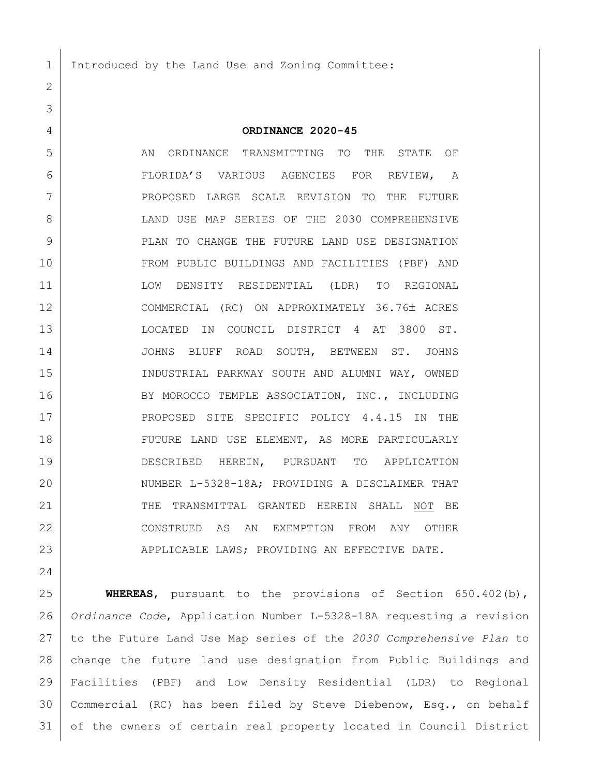Introduced by the Land Use and Zoning Committee:

 **ORDINANCE 2020-45** AN ORDINANCE TRANSMITTING TO THE STATE OF FLORIDA'S VARIOUS AGENCIES FOR REVIEW, A PROPOSED LARGE SCALE REVISION TO THE FUTURE 8 LAND USE MAP SERIES OF THE 2030 COMPREHENSIVE **PLAN TO CHANGE THE FUTURE LAND USE DESIGNATION**  FROM PUBLIC BUILDINGS AND FACILITIES (PBF) AND LOW DENSITY RESIDENTIAL (LDR) TO REGIONAL 12 COMMERCIAL (RC) ON APPROXIMATELY 36.76± ACRES LOCATED IN COUNCIL DISTRICT 4 AT 3800 ST. JOHNS BLUFF ROAD SOUTH, BETWEEN ST. JOHNS INDUSTRIAL PARKWAY SOUTH AND ALUMNI WAY, OWNED 16 BY MOROCCO TEMPLE ASSOCIATION, INC., INCLUDING 17 PROPOSED SITE SPECIFIC POLICY 4.4.15 IN THE 18 | FUTURE LAND USE ELEMENT, AS MORE PARTICULARLY DESCRIBED HEREIN, PURSUANT TO APPLICATION 20 NUMBER L-5328-18A; PROVIDING A DISCLAIMER THAT 21 THE TRANSMITTAL GRANTED HEREIN SHALL NOT BE CONSTRUED AS AN EXEMPTION FROM ANY OTHER 23 APPLICABLE LAWS; PROVIDING AN EFFECTIVE DATE.

 **WHEREAS**, pursuant to the provisions of Section 650.402(b), *Ordinance Code*, Application Number L-5328-18A requesting a revision to the Future Land Use Map series of the *2030 Comprehensive Plan* to change the future land use designation from Public Buildings and Facilities (PBF) and Low Density Residential (LDR) to Regional Commercial (RC) has been filed by Steve Diebenow, Esq., on behalf of the owners of certain real property located in Council District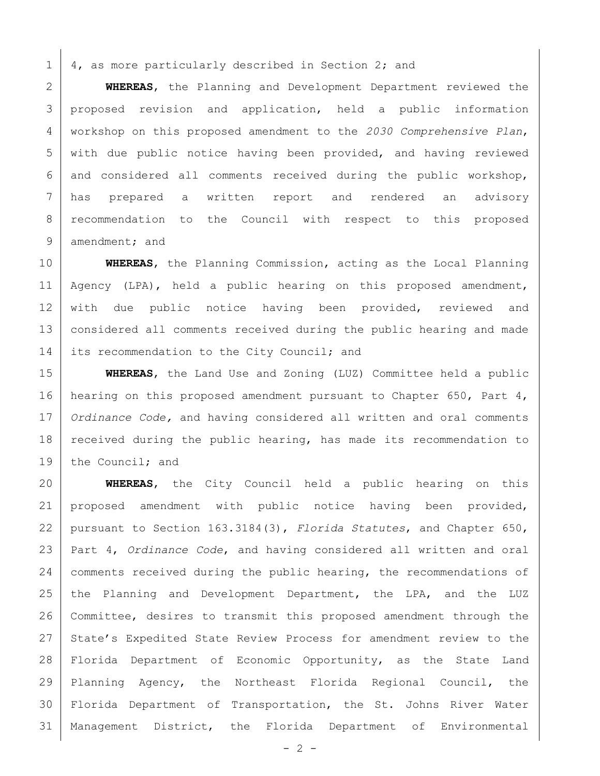$1 \mid 4$ , as more particularly described in Section 2; and

 **WHEREAS**, the Planning and Development Department reviewed the 3 proposed revision and application, held a public information workshop on this proposed amendment to the *2030 Comprehensive Plan*, with due public notice having been provided, and having reviewed and considered all comments received during the public workshop, has prepared a written report and rendered an advisory recommendation to the Council with respect to this proposed 9 amendment; and

10 **WHEREAS**, the Planning Commission, acting as the Local Planning 11 | Agency (LPA), held a public hearing on this proposed amendment, 12 with due public notice having been provided, reviewed and 13 considered all comments received during the public hearing and made 14 its recommendation to the City Council; and

15 **WHEREAS**, the Land Use and Zoning (LUZ) Committee held a public 16 | hearing on this proposed amendment pursuant to Chapter 650, Part 4, 17 *Ordinance Code,* and having considered all written and oral comments 18 | received during the public hearing, has made its recommendation to 19 the Council; and

 **WHEREAS**, the City Council held a public hearing on this proposed amendment with public notice having been provided, pursuant to Section 163.3184(3), *Florida Statutes*, and Chapter 650, Part 4, *Ordinance Code*, and having considered all written and oral 24 | comments received during the public hearing, the recommendations of 25 the Planning and Development Department, the LPA, and the LUZ Committee, desires to transmit this proposed amendment through the 27 State's Expedited State Review Process for amendment review to the Florida Department of Economic Opportunity, as the State Land Planning Agency, the Northeast Florida Regional Council, the Florida Department of Transportation, the St. Johns River Water Management District, the Florida Department of Environmental

 $- 2 -$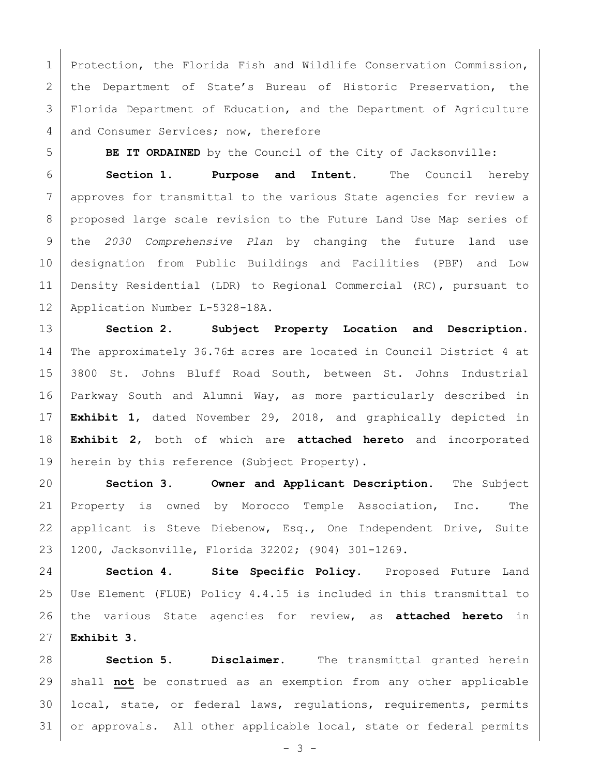1 | Protection, the Florida Fish and Wildlife Conservation Commission, 2 | the Department of State's Bureau of Historic Preservation, the Florida Department of Education, and the Department of Agriculture 4 and Consumer Services; now, therefore

**BE IT ORDAINED** by the Council of the City of Jacksonville:

 **Section 1. Purpose and Intent.** The Council hereby approves for transmittal to the various State agencies for review a proposed large scale revision to the Future Land Use Map series of the *2030 Comprehensive Plan* by changing the future land use designation from Public Buildings and Facilities (PBF) and Low Density Residential (LDR) to Regional Commercial (RC), pursuant to Application Number L-5328-18A.

 **Section 2. Subject Property Location and Description.** 14 The approximately  $36.76\pm$  acres are located in Council District 4 at 3800 St. Johns Bluff Road South, between St. Johns Industrial Parkway South and Alumni Way, as more particularly described in **Exhibit 1**, dated November 29, 2018, and graphically depicted in **Exhibit 2**, both of which are **attached hereto** and incorporated 19 | herein by this reference (Subject Property).

 **Section 3. Owner and Applicant Description.** The Subject Property is owned by Morocco Temple Association, Inc. The 22 | applicant is Steve Diebenow, Esq., One Independent Drive, Suite 1200, Jacksonville, Florida 32202; (904) 301-1269.

 **Section 4. Site Specific Policy.** Proposed Future Land Use Element (FLUE) Policy 4.4.15 is included in this transmittal to the various State agencies for review, as **attached hereto** in **Exhibit 3**.

 **Section 5. Disclaimer.** The transmittal granted herein shall **not** be construed as an exemption from any other applicable local, state, or federal laws, regulations, requirements, permits or approvals. All other applicable local, state or federal permits

 $- 3 -$